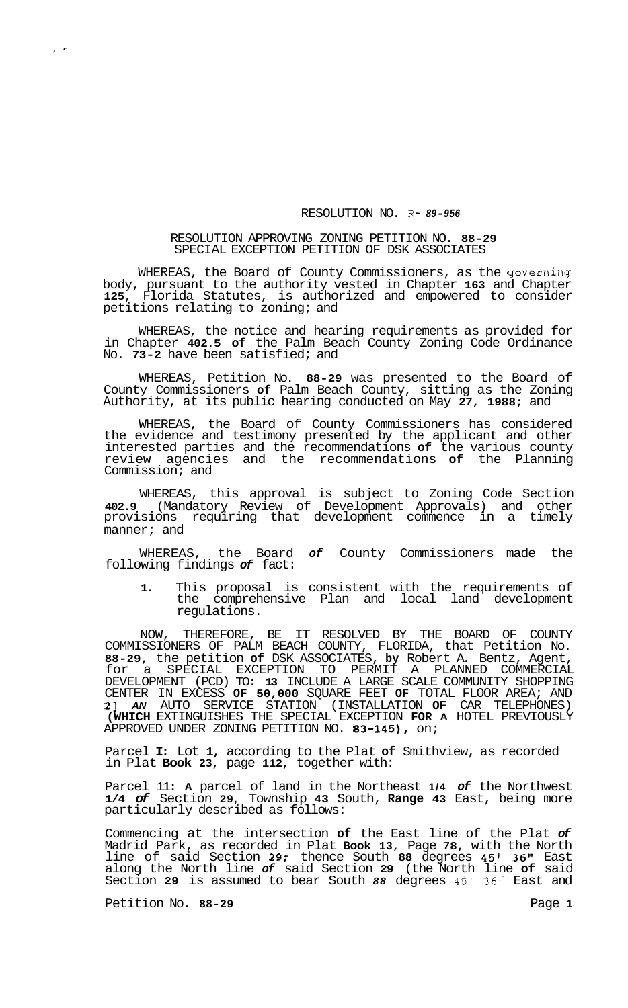## RESOLUTION NO. R- *89-956*

## RESOLUTION APPROVING ZONING PETITION NO. **88-29**  SPECIAL EXCEPTION PETITION OF DSK ASSOCIATES

WHEREAS, the Board of County Commissioners, as the governing body, pursuant to the authority vested in Chapter **163** and Chapter **125,** Florida Statutes, is authorized and empowered to consider petitions relating to zoning; and

WHEREAS, the notice and hearing requirements as provided for in Chapter **402.5 of** the Palm Beach County Zoning Code Ordinance No. **73-2** have been satisfied; and

WHEREAS, Petition No. **88-29** was presented to the Board of County Commissioners **of** Palm Beach County, sitting as the Zoning Authority, at its public hearing conducted on May **27, 1988;** and

WHEREAS, the Board of County Commissioners has considered the evidence and testimony presented by the applicant and other interested parties and the recommendations **of** the various county review agencies and the recommendations **of** the Planning Commission; and

WHEREAS, this approval is subject to Zoning Code Section **402.9** (Mandatory Review of Development Approvals) and other provisions requiring that development commence in a timely manner; and

WHEREAS, the Board *of* County Commissioners made the following findings *of* fact:

**1.** This proposal is consistent with the requirements of the comprehensive Plan and local land development regulations.

NOW, THEREFORE, BE IT RESOLVED BY THE BOARD OF COUNTY COMMISSIONERS OF PALM BEACH COUNTY, FLORIDA, that Petition No. **88-29,** the petition **of** DSK ASSOCIATES, **by** Robert A. Bentz, Agent, for a SPECIAL EXCEPTION TO PERMIT A PLANNED COMMERCIAL DEVELOPMENT (PCD) TO: **13** INCLUDE A LARGE SCALE COMMUNITY SHOPPING CENTER IN EXCESS **OF 50,000** SQUARE FEET **OF** TOTAL FLOOR AREA; AND **21** *AN* AUTO SERVICE STATION (INSTALLATION **OF** CAR TELEPHONES) **(WHICH** EXTINGUISHES THE SPECIAL EXCEPTION **FOR A** HOTEL PREVIOUSLY APPROVED UNDER ZONING PETITION NO. **83-145),** on;

Parcel **I:** Lot **1,** according to the Plat **of** Smithview, as recorded in Plat **Book 23,** page **112,** together with:

Parcel 11: **A** parcel of land in the Northeast **1/4** *of* the Northwest **1/4** *of* Section **29,** Township **43** South, **Range 43** East, being more particularly described as follows:

Commencing at the intersection **of** the East line of the Plat *of*  Madrid Park, as recorded in Plat **Book 13,** Page **78,** with the North line of said Section **29;** thence South **88** degrees **45' 36"** East along the North line *of* said Section **29** (the North line **of** said Section **29** is assumed to bear South *88* degrees **45' 36"** East and

Petition No. 88-29 **Page 1 Page 1** 

 $\mathbf{r}$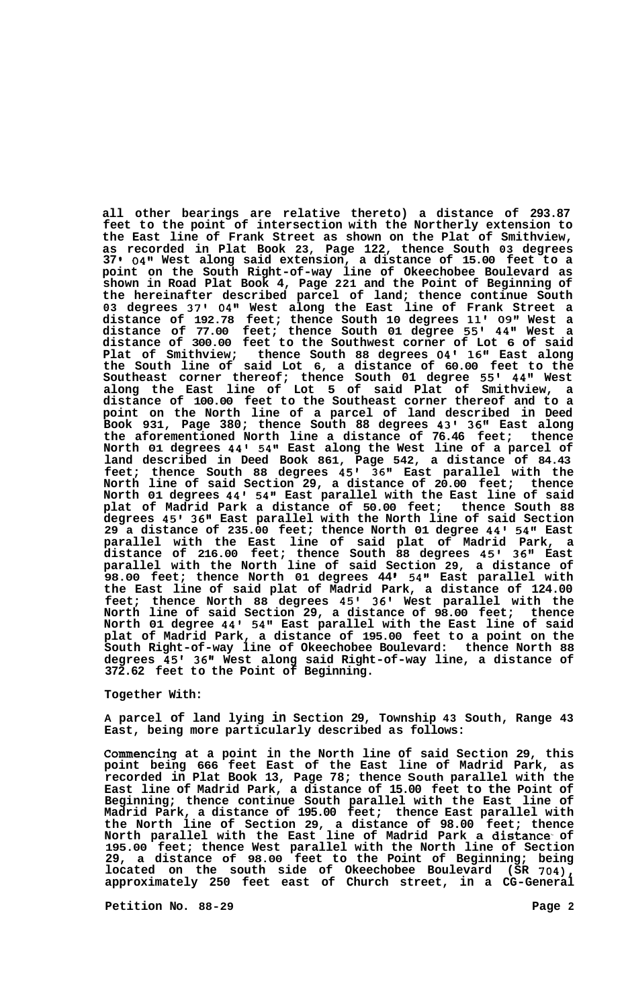**all other bearings are relative thereto) a distance of 293.87 feet to the point of intersection with the Northerly extension to the East line of Frank Street as shown on the Plat of Smithview, as recorded in Plat Book 23, Page 122, thence South 03 degrees 37 1 04'' West along said extension, a distance of 15.00 feet to a point on the South Right-of-way line of Okeechobee Boulevard as shown in Road Plat Book 4, Page 221 and the Point of Beginning of the hereinafter described parcel of land; thence continue South 03 degrees 37' 04" West along the East line of Frank Street a distance of 192.78 feet; thence South 10 degrees 11' 09" West a distance of 77.00 feet; thence South 01 degree 55' 44" West a distance of 300.00 feet to the Southwest corner of Lot 6 of said Plat of Smithview; thence South 88 degrees 04' 16" East along the South line of said Lot 6, a distance of 60.00 feet to the Southeast corner thereof; thence South 01 degree 55' 44" West along the East line of Lot 5 of said Plat of Smithview, a distance of 100.00 feet to the Southeast corner thereof and to a point on the North line of a parcel of land described in Deed Book 931, Page 380; thence South 88 degrees 43' 36" East along the aforementioned North line a distance of 76.46 feet; thence North 01 degrees 44' 54" East along the West line of a parcel of land described in Deed Book 861, Page 542, a distance of 84.43 feet; thence South 88 degrees 45' 36" East parallel with the North line of said Section 29, a distance of 20.00 feet; thence North 01 degrees 44' 54" East parallel with the East line of said plat of Madrid Park a distance of 50.00 feet; thence South 88 degrees 45' 36'' East parallel with the North line of said Section 29 a distance of 235.00 feet; thence North 01 degree 44' 54'' East parallel with the East line of said plat of Madrid Park, a distance of 216.00 feet; thence South 88 degrees 45' 36" East parallel with the North line of said Section 29, a distance of 98.00 feet; thence North 01 degrees 44 54" East parallel with the East line of said plat of Madrid Park, a distance of 124.00 feet; thence North 88 degrees 45' 36' West parallel with the North line of said Section 29, a distance of 98.00 feet; thence North 01 degree 44' 54" East parallel with the East line of said plat of Madrid Park, a distance of 195.00 feet to a point on the South Right-of-way line of Okeechobee Boulevard: thence North 88 degrees 45' 36" West along said Right-of-way line, a distance of 372.62 feet to the Point of Beginning.** 

## **Together With:**

**A parcel of land lying in Section 29, Township 43 South, Range 43 East, being more particularly described as follows:** 

**Commencing at a point in the North line of said Section 29, this point being 666 feet East of the East line of Madrid Park, as recorded in Plat Book 13, Page 78; thence South parallel with the East line of Madrid Park, a distance of 15.00 feet to the Point of Beginning; thence continue South parallel with the East line of Madrid Park, a distance of 195.00 feet; thence East parallel with the North line of Section 29, a distance of 98.00 feet; thence North parallel with the East line of Madrid Park a distance- of 195.00 feet; thence West parallel with the North line of Section 29, a distance of 98.00 feet to the Point of Beginning; being located on the south side of Okeechobee Boulevard (SR 704), approximately 250 feet east of Church street, in a CG-General** 

Petition No. 88-29 **Page 2 Page 2**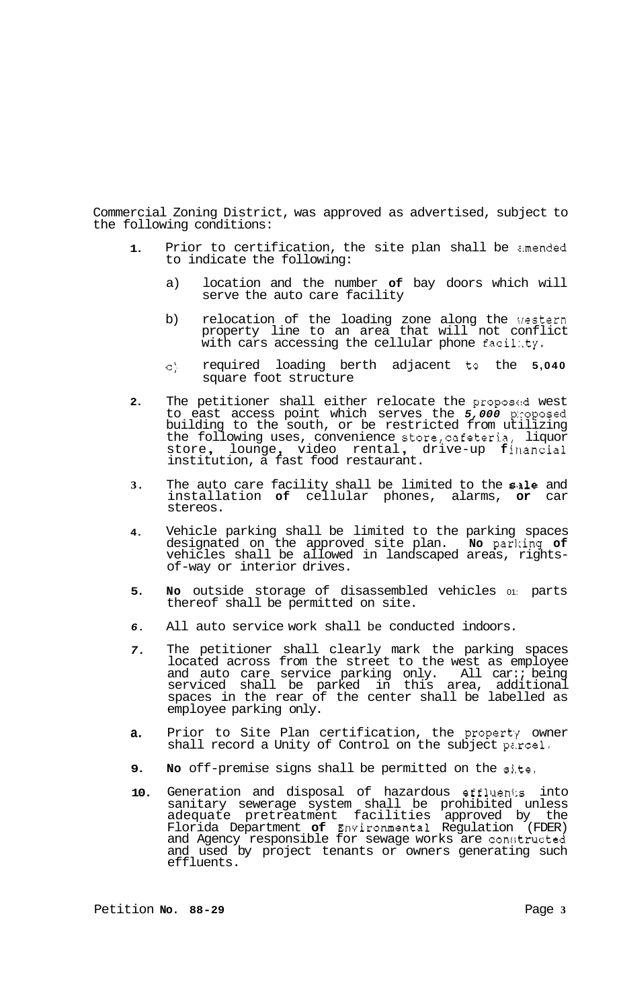Commercial Zoning District, was approved as advertised, subject to the following conditions:

- **1.**  Prior to certification, the site plan shall be amended to indicate the following:
	- a) location and the number **of** bay doors which will serve the auto care facility
	- b) relocation of the loading zone along the Western property line to an area that will not conflict with cars accessing the cellular phone facilaty.
	- C) required loading berth adjacent to the **5,040**  square foot structure
- **2.**  The petitioner shall either relocate the proposed west to east access point which serves the *5,000* p:roposed building to the south, or be restricted from utilizing the following uses, convenience store,cafeteria, liquor the following uses, convenience store, cafeteria, liquor<br>store, lounge, video rental, drive-up financial institution, a fast food restaurant.
- **3.**  The auto care facility shall be limited to the sale and installation **of** cellular phones, alarms, **or** car stereos.
- **4.**  Vehicle parking shall be limited to the parking spaces designated on the approved site plan. **No** parking **of**  vehicles shall be allowed in landscaped areas, rightsof-way or interior drives.
- **5. No** outside storage of disassembled vehicles 01: parts thereof shall be permitted on site.
- *6.*  All auto service work shall be conducted indoors.
- *7.*  The petitioner shall clearly mark the parking spaces located across from the street to the west as employee and auto care service parking only. All car:; being serviced shall be parked in this area, additional spaces in the rear of the center shall be labelled as employee parking only.
- **a.**  Prior to Site Plan certification, the property owner shall record a Unity of Control on the subject parcel.
- **9. No** off-premise signs shall be permitted on the sj.te.
- **10.**  Generation and disposal of hazardous effluen1:s into sanitary sewerage system shall be prohibited unless adequate pretreatment facilities approved by the Florida Department **of** Environmental Regulation (FDER) and Agency responsible for sewage works are constructed and used by project tenants or owners generating such effluents.